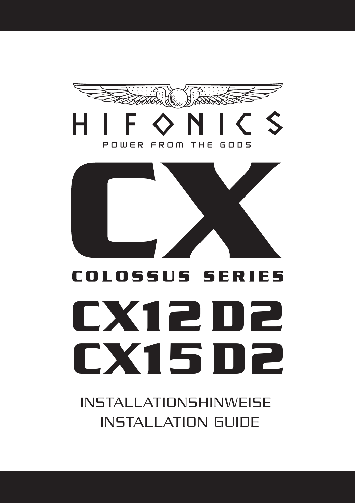

INSTALLATIONSHINWEISE INSTALLATION GUIDE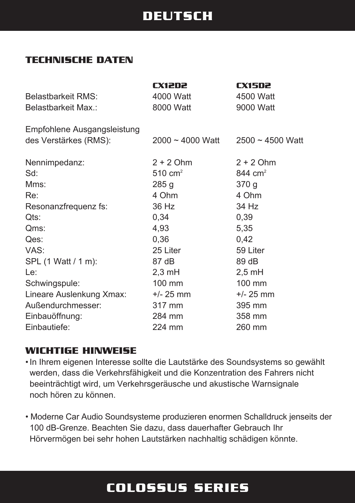### **DEUTSCH**

#### **TECHNISCHE DATEN**

|                             | CX12D2                | <b>CX15D2</b>      |
|-----------------------------|-----------------------|--------------------|
| <b>Belastbarkeit RMS:</b>   | 4000 Watt             | 4500 Watt          |
| Belastbarkeit Max.:         | 8000 Watt             | 9000 Watt          |
| Empfohlene Ausgangsleistung |                       |                    |
| des Verstärkes (RMS):       | $2000 \sim 4000$ Watt | $2500 - 4500$ Watt |
| Nennimpedanz:               | $2 + 2$ Ohm           | $2 + 2$ Ohm        |
| Sd:                         | $510 \text{ cm}^2$    | 844 $cm2$          |
| Mms:                        | 285 <sub>g</sub>      | 370 <sub>g</sub>   |
| Re:                         | 4 Ohm                 | 4 Ohm              |
| Resonanzfrequenz fs:        | 36 Hz                 | 34 Hz              |
| Qts:                        | 0,34                  | 0,39               |
| Qms:                        | 4,93                  | 5,35               |
| Qes:                        | 0,36                  | 0,42               |
| VAS:                        | 25 Liter              | 59 Liter           |
| SPL (1 Watt / 1 m):         | 87 dB                 | 89 dB              |
| Le:                         | $2,3 \text{ mH}$      | $2,5$ mH           |
| Schwingspule:               | 100 mm                | 100 mm             |
| Lineare Auslenkung Xmax:    | $+/- 25$ mm           | $+/- 25$ mm        |
| Außendurchmesser:           | 317 mm                | 395 mm             |
| Einbauöffnung:              | 284 mm                | 358 mm             |
| Einbautiefe:                | 224 mm                | 260 mm             |
|                             |                       |                    |

#### **WICHTIGE HINWEISE**

•In Ihrem eigenen Interesse sollte die Lautstärke des Soundsystems so gewählt werden, dass die Verkehrsfähigkeit und die Konzentration des Fahrers nicht beeinträchtigt wird, um Verkehrsgeräusche und akustische Warnsignale noch hören zu können.

• Moderne Car Audio Soundsysteme produzieren enormen Schalldruck jenseits der 100 dB-Grenze. Beachten Sie dazu, dass dauerhafter Gebrauch Ihr Hörvermögen bei sehr hohen Lautstärken nachhaltig schädigen könnte.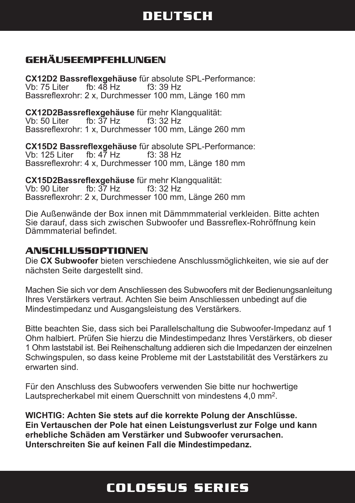## **DEUTSCH**

#### **GEHÄUSEEMPFEHLUNGEN**

**CX12D2 Bassreflexgehäuse** für absolute SPL-Performance: Vb: 75 Liter fb:  $48$  Hz Bassreflexrohr: 2 x, Durchmesser 100 mm, Länge 160 mm

**CX12D2Bassreflexgehäuse** für mehr Klangqualität: Vb: 50 Liter fb: 37 Hz f3: 32 Hz Bassreflexrohr: 1 x, Durchmesser 100 mm, Länge 260 mm

**CX15D2 Bassreflexgehäuse** für absolute SPL-Performance: Vb: 125 Liter fb:  $4\overline{7}$  Hz Bassreflexrohr: 4 x, Durchmesser 100 mm, Länge 180 mm

**CX15D2Bassreflexgehäuse** für mehr Klangqualität: fb:  $37$  Hz Bassreflexrohr: 2 x, Durchmesser 100 mm, Länge 260 mm

Die Außenwände der Box innen mit Dämmmmaterial verkleiden. Bitte achten Sie darauf, dass sich zwischen Subwoofer und Bassreflex-Rohröffnung kein Dämmmaterial befindet.

#### **ANSCHLUSSOPTIONEN**

Die **CX Subwoofer** bieten verschiedene Anschlussmöglichkeiten, wie sie auf der nächsten Seite dargestellt sind.

Machen Sie sich vor dem Anschliessen des Subwoofers mit der Bedienungsanleitung Ihres Verstärkers vertraut. Achten Sie beim Anschliessen unbedingt auf die Mindestimpedanz und Ausgangsleistung des Verstärkers.

Bitte beachten Sie, dass sich bei Parallelschaltung die Subwoofer-Impedanz auf 1 Ohm halbiert. Prüfen Sie hierzu die Mindestimpedanz Ihres Verstärkers, ob dieser 1 Ohm laststabil ist. Bei Reihenschaltung addieren sich die Impedanzen der einzelnen Schwingspulen, so dass keine Probleme mit der Laststabilität des Verstärkers zu erwarten sind.

Für den Anschluss des Subwoofers verwenden Sie bitte nur hochwertige Lautsprecherkabel mit einem Querschnitt von mindestens 4,0 mm<sup>2</sup>.

**WICHTIG: Achten Sie stets auf die korrekte Polung der Anschlüsse. Ein Vertauschen der Pole hat einen Leistungsverlust zur Folge und kann erhebliche Schäden am Verstärker und Subwoofer verursachen. Unterschreiten Sie auf keinen Fall die Mindestimpedanz.**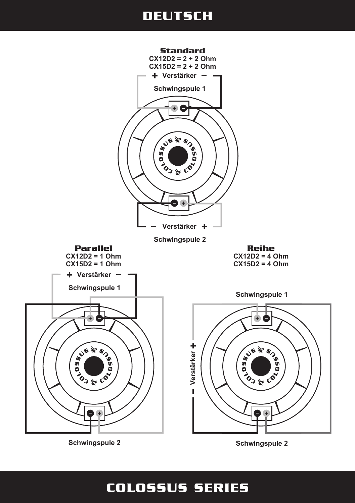### **DEUTSCH**



**Schwingspule 2**

**Schwingspule 2**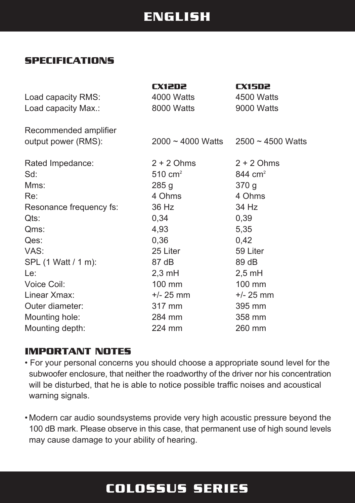### **ENGLISH**

#### **SPECIFICATIONS**

| 4000 Watts<br>Load capacity RMS:<br>8000 Watts<br>Load capacity Max.:                                                                                                                                                                                                                                                                                              | 9000 Watts                                                                                                                                                   |
|--------------------------------------------------------------------------------------------------------------------------------------------------------------------------------------------------------------------------------------------------------------------------------------------------------------------------------------------------------------------|--------------------------------------------------------------------------------------------------------------------------------------------------------------|
| Recommended amplifier<br>output power (RMS):<br>2000 ~ 4000 Watts                                                                                                                                                                                                                                                                                                  | $2500 \sim 4500$ Watts                                                                                                                                       |
| $2 + 2$ Ohms<br>Rated Impedance:<br>$510 \text{ cm}^2$<br>Sd:<br>Mms:<br>285 <sub>g</sub><br>4 Ohms<br>Re:<br>36 Hz<br>Resonance frequency fs:<br>0,34<br>Qts:<br>4,93<br>Qms:<br>Qes:<br>0,36<br>VAS:<br>25 Liter<br>SPL (1 Watt / 1 m):<br>87 dB<br>$2,3 \text{ mH}$<br>Le:<br>Voice Coil:<br>100 mm<br>Linear Xmax:<br>$+/- 25$ mm<br>Outer diameter:<br>317 mm | $2 + 2$ Ohms<br>844 $cm2$<br>370 <sub>g</sub><br>4 Ohms<br>34 Hz<br>0,39<br>5,35<br>0,42<br>59 Liter<br>89 dB<br>$2,5$ mH<br>100 mm<br>$+/- 25$ mm<br>395 mm |
| Mounting hole:<br>284 mm<br>Mounting depth:<br>224 mm                                                                                                                                                                                                                                                                                                              | 358 mm<br>260 mm                                                                                                                                             |

#### **IMPORTANT NOTES**

• For your personal concerns you should choose a appropriate sound level for the subwoofer enclosure, that neither the roadworthy of the driver nor his concentration will be disturbed, that he is able to notice possible traffic noises and acoustical warning signals.

• Modern car audio soundsystems provide very high acoustic pressure beyond the 100 dB mark. Please observe in this case, that permanent use of high sound levels may cause damage to your ability of hearing.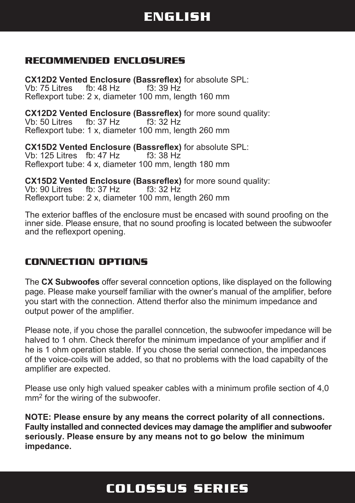# **ENGLISH**

#### **RECOMMENDED ENCLOSURES**

**CX12D2 Vented Enclosure (Bassreflex)** for absolute SPL: Vb: 75 Litres fb: 48 Hz f3: 39 Hz Reflexport tube: 2 x, diameter 100 mm, length 160 mm

**CX12D2 Vented Enclosure (Bassreflex)** for more sound quality: Vb:  $50$  Litres fb: 37 Hz Reflexport tube: 1 x, diameter 100 mm, length 260 mm

**CX15D2 Vented Enclosure (Bassreflex)** for absolute SPL: Vb: 125 Litres fb: 47 Hz Reflexport tube: 4 x, diameter 100 mm, length 180 mm

**CX15D2 Vented Enclosure (Bassreflex)** for more sound quality: Vb: 90 Litres fb: 37 Hz f3: 32 Hz Reflexport tube: 2 x, diameter 100 mm, length 260 mm

The exterior baffles of the enclosure must be encased with sound proofing on the inner side. Please ensure, that no sound proofing is located between the subwoofer and the reflexport opening.

#### **CONNECTION OPTIONS**

The **CX Subwoofes** offer several conncetion options, like displayed on the following page. Please make yourself familiar with the owner's manual of the amplifier, before you start with the connection. Attend therfor also the minimum impedance and output power of the amplifier.

Please note, if you chose the parallel conncetion, the subwoofer impedance will be halved to 1 ohm. Check therefor the minimum impedance of your amplifier and if he is 1 ohm operation stable. If you chose the serial connection, the impedances of the voice-coils will be added, so that no problems with the load capabilty of the amplifier are expected.

Please use only high valued speaker cables with a minimum profile section of 4,0 mm<sup>2</sup> for the wiring of the subwoofer.

**NOTE: Please ensure by any means the correct polarity of all connections. Faulty installed and connected devices may damage the amplifier and subwoofer seriously. Please ensure by any means not to go below the minimum impedance.**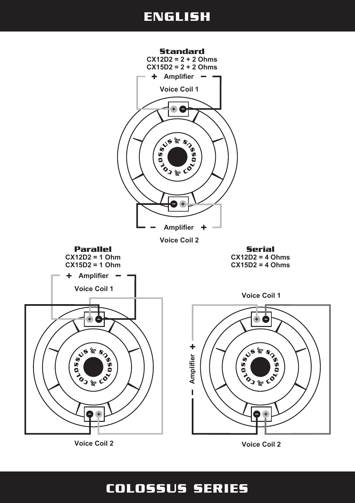## **ENGLISH**



**Voice Coil 2**

**Voice Coil 2**